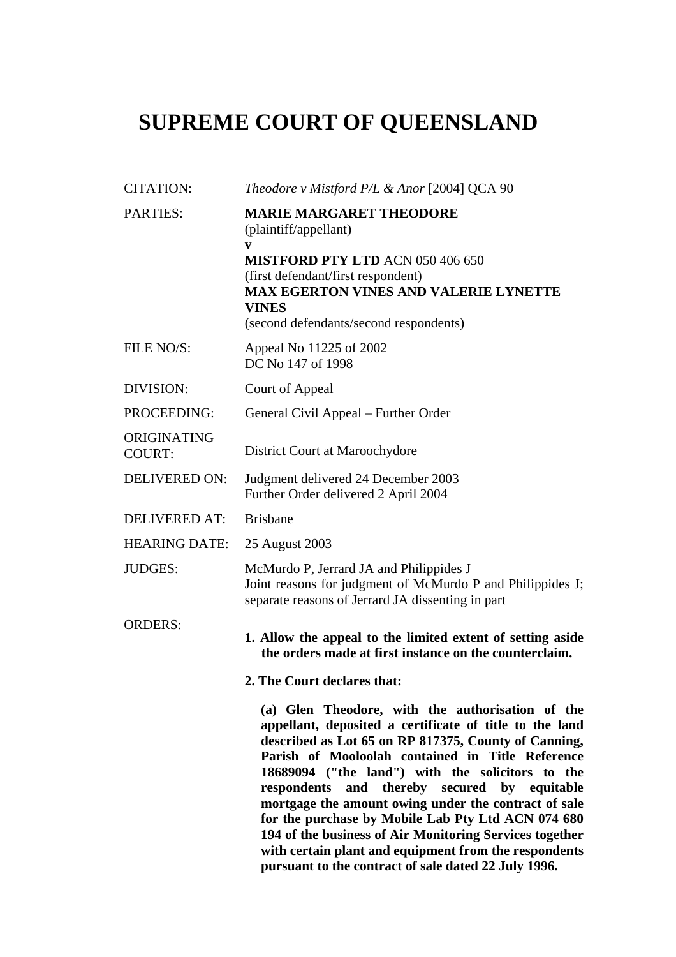## **SUPREME COURT OF QUEENSLAND**

| <b>CITATION:</b>             | Theodore v Mistford P/L & Anor [2004] QCA 90                                                                                                                                                                                                                                                                                                                                                                                                                                                                                                                                                                          |
|------------------------------|-----------------------------------------------------------------------------------------------------------------------------------------------------------------------------------------------------------------------------------------------------------------------------------------------------------------------------------------------------------------------------------------------------------------------------------------------------------------------------------------------------------------------------------------------------------------------------------------------------------------------|
| <b>PARTIES:</b>              | <b>MARIE MARGARET THEODORE</b><br>(plaintiff/appellant)<br>V                                                                                                                                                                                                                                                                                                                                                                                                                                                                                                                                                          |
|                              | <b>MISTFORD PTY LTD ACN 050 406 650</b><br>(first defendant/first respondent)<br><b>MAX EGERTON VINES AND VALERIE LYNETTE</b><br><b>VINES</b>                                                                                                                                                                                                                                                                                                                                                                                                                                                                         |
|                              | (second defendants/second respondents)                                                                                                                                                                                                                                                                                                                                                                                                                                                                                                                                                                                |
| FILE NO/S:                   | Appeal No 11225 of 2002<br>DC No 147 of 1998                                                                                                                                                                                                                                                                                                                                                                                                                                                                                                                                                                          |
| DIVISION:                    | Court of Appeal                                                                                                                                                                                                                                                                                                                                                                                                                                                                                                                                                                                                       |
| PROCEEDING:                  | General Civil Appeal - Further Order                                                                                                                                                                                                                                                                                                                                                                                                                                                                                                                                                                                  |
| ORIGINATING<br><b>COURT:</b> | District Court at Maroochydore                                                                                                                                                                                                                                                                                                                                                                                                                                                                                                                                                                                        |
| <b>DELIVERED ON:</b>         | Judgment delivered 24 December 2003<br>Further Order delivered 2 April 2004                                                                                                                                                                                                                                                                                                                                                                                                                                                                                                                                           |
| <b>DELIVERED AT:</b>         | <b>Brisbane</b>                                                                                                                                                                                                                                                                                                                                                                                                                                                                                                                                                                                                       |
| <b>HEARING DATE:</b>         | 25 August 2003                                                                                                                                                                                                                                                                                                                                                                                                                                                                                                                                                                                                        |
| <b>JUDGES:</b>               | McMurdo P, Jerrard JA and Philippides J<br>Joint reasons for judgment of McMurdo P and Philippides J;<br>separate reasons of Jerrard JA dissenting in part                                                                                                                                                                                                                                                                                                                                                                                                                                                            |
| <b>ORDERS:</b>               | 1. Allow the appeal to the limited extent of setting aside<br>the orders made at first instance on the counterclaim.                                                                                                                                                                                                                                                                                                                                                                                                                                                                                                  |
|                              | 2. The Court declares that:                                                                                                                                                                                                                                                                                                                                                                                                                                                                                                                                                                                           |
|                              | (a) Glen Theodore, with the authorisation of the<br>appellant, deposited a certificate of title to the land<br>described as Lot 65 on RP 817375, County of Canning,<br>Parish of Mooloolah contained in Title Reference<br>18689094 ("the land") with the solicitors to the<br>respondents and thereby secured by equitable<br>mortgage the amount owing under the contract of sale<br>for the purchase by Mobile Lab Pty Ltd ACN 074 680<br>194 of the business of Air Monitoring Services together<br>with certain plant and equipment from the respondents<br>pursuant to the contract of sale dated 22 July 1996. |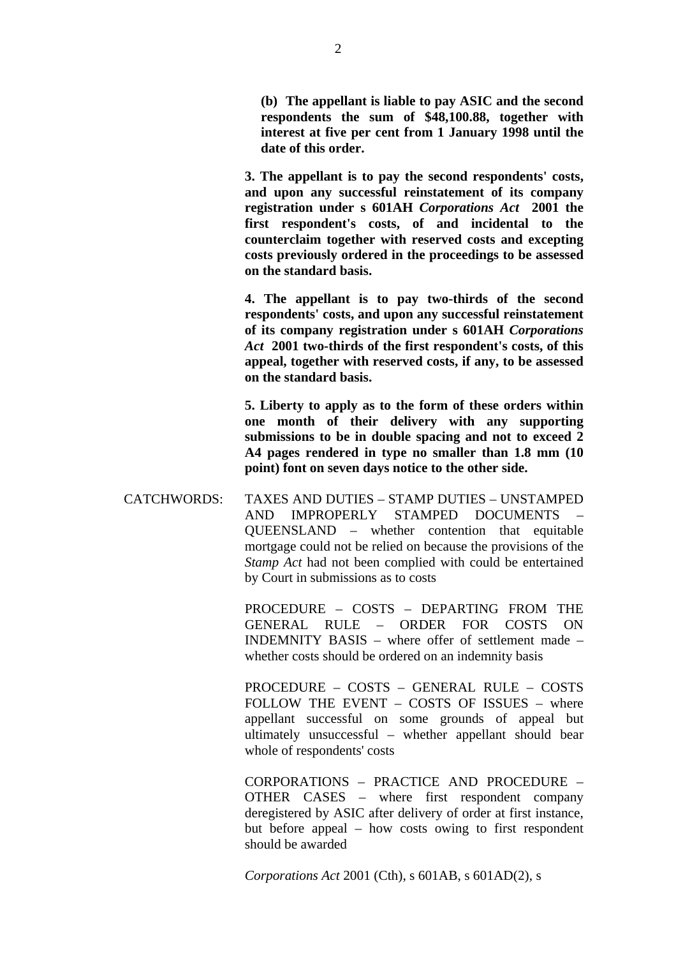**(b) The appellant is liable to pay ASIC and the second respondents the sum of \$48,100.88, together with interest at five per cent from 1 January 1998 until the date of this order.** 

**3. The appellant is to pay the second respondents' costs, and upon any successful reinstatement of its company registration under s 601AH** *Corporations Act* **2001 the first respondent's costs, of and incidental to the counterclaim together with reserved costs and excepting costs previously ordered in the proceedings to be assessed on the standard basis.** 

**4. The appellant is to pay two-thirds of the second respondents' costs, and upon any successful reinstatement of its company registration under s 601AH** *Corporations Act* **2001 two-thirds of the first respondent's costs, of this appeal, together with reserved costs, if any, to be assessed on the standard basis.** 

**5. Liberty to apply as to the form of these orders within one month of their delivery with any supporting submissions to be in double spacing and not to exceed 2 A4 pages rendered in type no smaller than 1.8 mm (10 point) font on seven days notice to the other side.** 

CATCHWORDS: TAXES AND DUTIES – STAMP DUTIES – UNSTAMPED AND IMPROPERLY STAMPED DOCUMENTS QUEENSLAND – whether contention that equitable mortgage could not be relied on because the provisions of the *Stamp Act* had not been complied with could be entertained by Court in submissions as to costs

> PROCEDURE – COSTS – DEPARTING FROM THE GENERAL RULE – ORDER FOR COSTS ON INDEMNITY BASIS – where offer of settlement made – whether costs should be ordered on an indemnity basis

> PROCEDURE – COSTS – GENERAL RULE – COSTS FOLLOW THE EVENT – COSTS OF ISSUES – where appellant successful on some grounds of appeal but ultimately unsuccessful – whether appellant should bear whole of respondents' costs

> CORPORATIONS – PRACTICE AND PROCEDURE – OTHER CASES – where first respondent company deregistered by ASIC after delivery of order at first instance, but before appeal – how costs owing to first respondent should be awarded

*Corporations Act* 2001 (Cth), s 601AB, s 601AD(2), s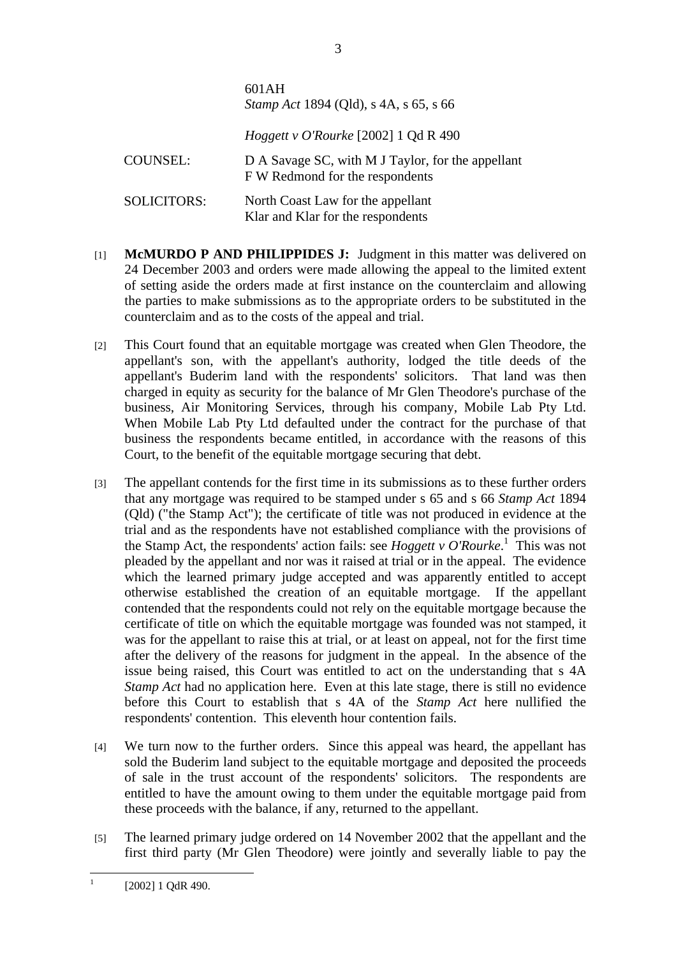|                    | $0.11 \times 11$<br><i>Stamp Act</i> 1894 (Qld), s 4A, s 65, s 66                    |
|--------------------|--------------------------------------------------------------------------------------|
|                    | <i>Hoggett v O'Rourke</i> [2002] 1 Qd R 490                                          |
| <b>COUNSEL:</b>    | D A Savage SC, with M J Taylor, for the appellant<br>F W Redmond for the respondents |
| <b>SOLICITORS:</b> | North Coast Law for the appellant<br>Klar and Klar for the respondents               |

 $601 \text{ AU}$ 

- [1] **McMURDO P AND PHILIPPIDES J:** Judgment in this matter was delivered on 24 December 2003 and orders were made allowing the appeal to the limited extent of setting aside the orders made at first instance on the counterclaim and allowing the parties to make submissions as to the appropriate orders to be substituted in the counterclaim and as to the costs of the appeal and trial.
- [2] This Court found that an equitable mortgage was created when Glen Theodore, the appellant's son, with the appellant's authority, lodged the title deeds of the appellant's Buderim land with the respondents' solicitors. That land was then charged in equity as security for the balance of Mr Glen Theodore's purchase of the business, Air Monitoring Services, through his company, Mobile Lab Pty Ltd. When Mobile Lab Pty Ltd defaulted under the contract for the purchase of that business the respondents became entitled, in accordance with the reasons of this Court, to the benefit of the equitable mortgage securing that debt.
- [3] The appellant contends for the first time in its submissions as to these further orders that any mortgage was required to be stamped under s 65 and s 66 *Stamp Act* 1894 (Qld) ("the Stamp Act"); the certificate of title was not produced in evidence at the trial and as the respondents have not established compliance with the provisions of the Stamp Act, the respondents' action fails: see *Hoggett v O'Rourke*. 1 This was not pleaded by the appellant and nor was it raised at trial or in the appeal. The evidence which the learned primary judge accepted and was apparently entitled to accept otherwise established the creation of an equitable mortgage. If the appellant contended that the respondents could not rely on the equitable mortgage because the certificate of title on which the equitable mortgage was founded was not stamped, it was for the appellant to raise this at trial, or at least on appeal, not for the first time after the delivery of the reasons for judgment in the appeal. In the absence of the issue being raised, this Court was entitled to act on the understanding that s 4A *Stamp Act* had no application here. Even at this late stage, there is still no evidence before this Court to establish that s 4A of the *Stamp Act* here nullified the respondents' contention. This eleventh hour contention fails.
- [4] We turn now to the further orders. Since this appeal was heard, the appellant has sold the Buderim land subject to the equitable mortgage and deposited the proceeds of sale in the trust account of the respondents' solicitors. The respondents are entitled to have the amount owing to them under the equitable mortgage paid from these proceeds with the balance, if any, returned to the appellant.
- [5] The learned primary judge ordered on 14 November 2002 that the appellant and the first third party (Mr Glen Theodore) were jointly and severally liable to pay the

 $\frac{1}{1}$ [2002] 1 QdR 490.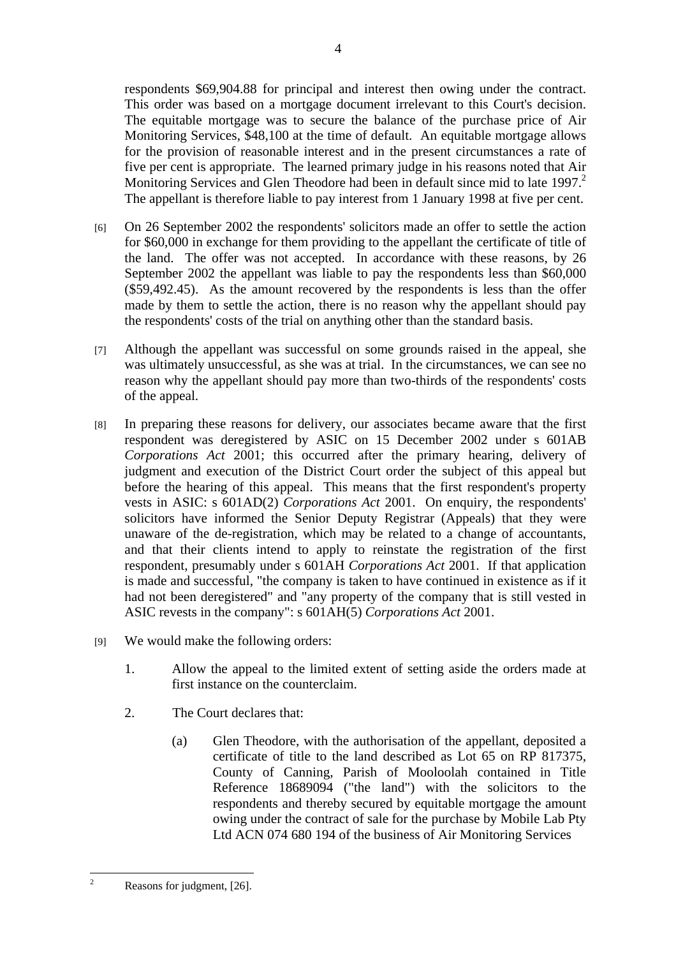respondents \$69,904.88 for principal and interest then owing under the contract. This order was based on a mortgage document irrelevant to this Court's decision. The equitable mortgage was to secure the balance of the purchase price of Air Monitoring Services, \$48,100 at the time of default. An equitable mortgage allows for the provision of reasonable interest and in the present circumstances a rate of five per cent is appropriate. The learned primary judge in his reasons noted that Air Monitoring Services and Glen Theodore had been in default since mid to late 1997.<sup>2</sup> The appellant is therefore liable to pay interest from 1 January 1998 at five per cent.

- [6] On 26 September 2002 the respondents' solicitors made an offer to settle the action for \$60,000 in exchange for them providing to the appellant the certificate of title of the land. The offer was not accepted. In accordance with these reasons, by 26 September 2002 the appellant was liable to pay the respondents less than \$60,000 (\$59,492.45). As the amount recovered by the respondents is less than the offer made by them to settle the action, there is no reason why the appellant should pay the respondents' costs of the trial on anything other than the standard basis.
- [7] Although the appellant was successful on some grounds raised in the appeal, she was ultimately unsuccessful, as she was at trial. In the circumstances, we can see no reason why the appellant should pay more than two-thirds of the respondents' costs of the appeal.
- [8] In preparing these reasons for delivery, our associates became aware that the first respondent was deregistered by ASIC on 15 December 2002 under s 601AB *Corporations Act* 2001; this occurred after the primary hearing, delivery of judgment and execution of the District Court order the subject of this appeal but before the hearing of this appeal. This means that the first respondent's property vests in ASIC: s 601AD(2) *Corporations Act* 2001. On enquiry, the respondents' solicitors have informed the Senior Deputy Registrar (Appeals) that they were unaware of the de-registration, which may be related to a change of accountants, and that their clients intend to apply to reinstate the registration of the first respondent, presumably under s 601AH *Corporations Act* 2001. If that application is made and successful, "the company is taken to have continued in existence as if it had not been deregistered" and "any property of the company that is still vested in ASIC revests in the company": s 601AH(5) *Corporations Act* 2001.
- [9] We would make the following orders:
	- 1. Allow the appeal to the limited extent of setting aside the orders made at first instance on the counterclaim.
	- 2. The Court declares that:
		- (a) Glen Theodore, with the authorisation of the appellant, deposited a certificate of title to the land described as Lot 65 on RP 817375, County of Canning, Parish of Mooloolah contained in Title Reference 18689094 ("the land") with the solicitors to the respondents and thereby secured by equitable mortgage the amount owing under the contract of sale for the purchase by Mobile Lab Pty Ltd ACN 074 680 194 of the business of Air Monitoring Services

 $\frac{1}{2}$ 

Reasons for judgment, [26].